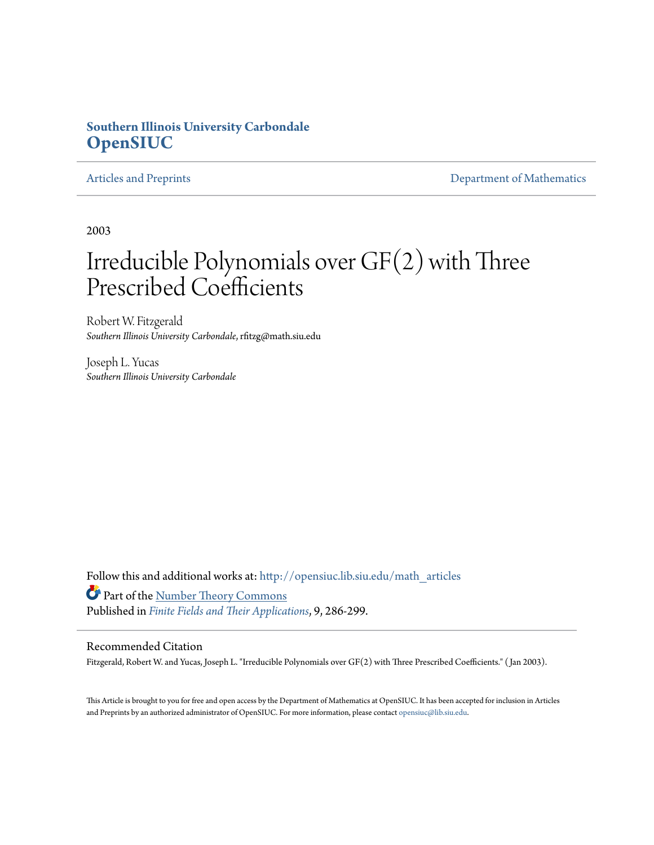# **Southern Illinois University Carbondale [OpenSIUC](http://opensiuc.lib.siu.edu?utm_source=opensiuc.lib.siu.edu%2Fmath_articles%2F27&utm_medium=PDF&utm_campaign=PDFCoverPages)**

[Articles and Preprints](http://opensiuc.lib.siu.edu/math_articles?utm_source=opensiuc.lib.siu.edu%2Fmath_articles%2F27&utm_medium=PDF&utm_campaign=PDFCoverPages) **[Department of Mathematics](http://opensiuc.lib.siu.edu/math?utm_source=opensiuc.lib.siu.edu%2Fmath_articles%2F27&utm_medium=PDF&utm_campaign=PDFCoverPages)** 

2003

# Irreducible Polynomials over GF(2) with Three Prescribed Coefficients

Robert W. Fitzgerald *Southern Illinois University Carbondale*, rfitzg@math.siu.edu

Joseph L. Yucas *Southern Illinois University Carbondale*

Follow this and additional works at: [http://opensiuc.lib.siu.edu/math\\_articles](http://opensiuc.lib.siu.edu/math_articles?utm_source=opensiuc.lib.siu.edu%2Fmath_articles%2F27&utm_medium=PDF&utm_campaign=PDFCoverPages) Part of the [Number Theory Commons](http://network.bepress.com/hgg/discipline/183?utm_source=opensiuc.lib.siu.edu%2Fmath_articles%2F27&utm_medium=PDF&utm_campaign=PDFCoverPages) Published in *[Finite Fields and Their Applications](http://www.elsevier.com/wps/find/journaldescription.cws_home/622831/description#description)*, 9, 286-299.

#### Recommended Citation

Fitzgerald, Robert W. and Yucas, Joseph L. "Irreducible Polynomials over GF(2) with Three Prescribed Coefficients." ( Jan 2003).

This Article is brought to you for free and open access by the Department of Mathematics at OpenSIUC. It has been accepted for inclusion in Articles and Preprints by an authorized administrator of OpenSIUC. For more information, please contact [opensiuc@lib.siu.edu](mailto:opensiuc@lib.siu.edu).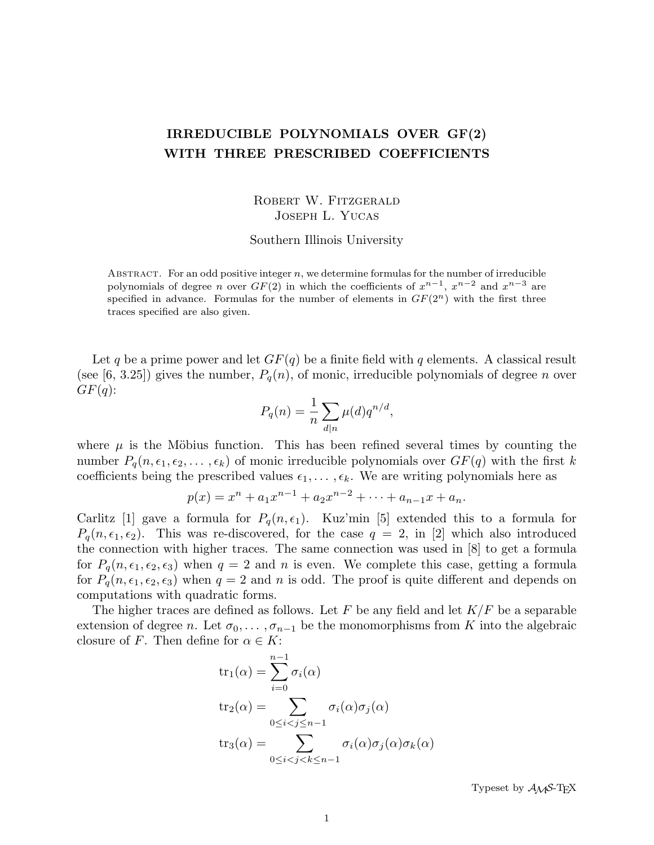## IRREDUCIBLE POLYNOMIALS OVER GF(2) WITH THREE PRESCRIBED COEFFICIENTS

ROBERT W. FITZGERALD Joseph L. Yucas

Southern Illinois University

ABSTRACT. For an odd positive integer  $n$ , we determine formulas for the number of irreducible polynomials of degree *n* over  $GF(2)$  in which the coefficients of  $x^{n-1}$ ,  $x^{n-2}$  and  $x^{n-3}$  are specified in advance. Formulas for the number of elements in  $GF(2<sup>n</sup>)$  with the first three traces specified are also given.

Let q be a prime power and let  $GF(q)$  be a finite field with q elements. A classical result (see [6, 3.25]) gives the number,  $P_q(n)$ , of monic, irreducible polynomials of degree n over  $GF(q)$ :

$$
P_q(n) = \frac{1}{n} \sum_{d|n} \mu(d) q^{n/d},
$$

where  $\mu$  is the Möbius function. This has been refined several times by counting the number  $P_q(n, \epsilon_1, \epsilon_2, \ldots, \epsilon_k)$  of monic irreducible polynomials over  $GF(q)$  with the first k coefficients being the prescribed values  $\epsilon_1, \ldots, \epsilon_k$ . We are writing polynomials here as

$$
p(x) = xn + a1xn-1 + a2xn-2 + \dots + an-1x + an.
$$

Carlitz [1] gave a formula for  $P_q(n, \epsilon_1)$ . Kuz'min [5] extended this to a formula for  $P_q(n, \epsilon_1, \epsilon_2)$ . This was re-discovered, for the case  $q = 2$ , in [2] which also introduced the connection with higher traces. The same connection was used in [8] to get a formula for  $P_q(n, \epsilon_1, \epsilon_2, \epsilon_3)$  when  $q = 2$  and n is even. We complete this case, getting a formula for  $P_q(n, \epsilon_1, \epsilon_2, \epsilon_3)$  when  $q = 2$  and n is odd. The proof is quite different and depends on computations with quadratic forms.

The higher traces are defined as follows. Let F be any field and let  $K/F$  be a separable extension of degree n. Let  $\sigma_0, \ldots, \sigma_{n-1}$  be the monomorphisms from K into the algebraic closure of F. Then define for  $\alpha \in K$ :

$$
tr_1(\alpha) = \sum_{i=0}^{n-1} \sigma_i(\alpha)
$$
  
\n
$$
tr_2(\alpha) = \sum_{0 \le i < j \le n-1} \sigma_i(\alpha) \sigma_j(\alpha)
$$
  
\n
$$
tr_3(\alpha) = \sum_{0 \le i < j < k \le n-1} \sigma_i(\alpha) \sigma_j(\alpha) \sigma_k(\alpha)
$$

Typeset by  $\mathcal{A}_{\mathcal{M}}$ S-T<sub>F</sub>X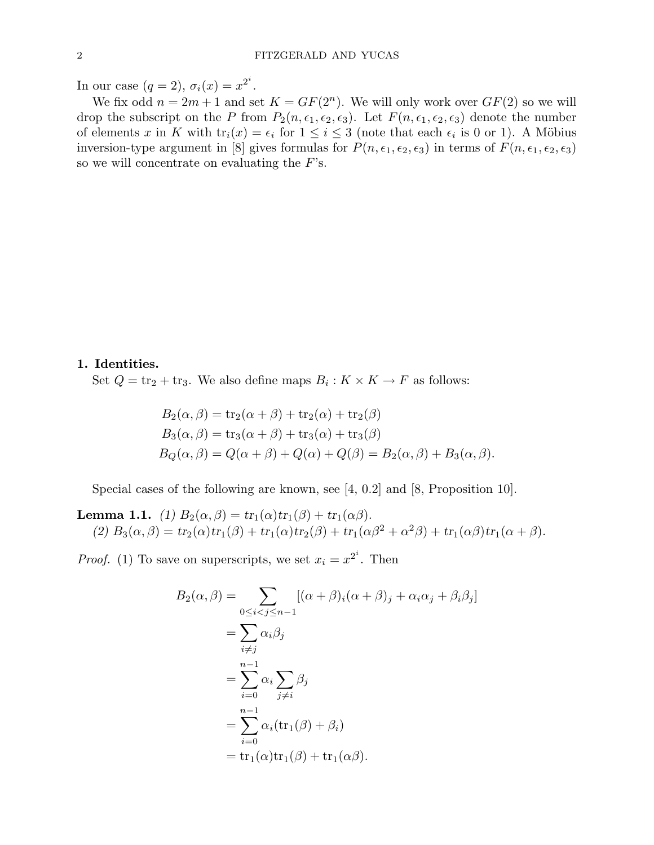In our case  $(q = 2)$ ,  $\sigma_i(x) = x^{2^i}$ .

We fix odd  $n = 2m + 1$  and set  $K = GF(2^n)$ . We will only work over  $GF(2)$  so we will drop the subscript on the P from  $P_2(n, \epsilon_1, \epsilon_2, \epsilon_3)$ . Let  $F(n, \epsilon_1, \epsilon_2, \epsilon_3)$  denote the number of elements x in K with  $tr_i(x) = \epsilon_i$  for  $1 \leq i \leq 3$  (note that each  $\epsilon_i$  is 0 or 1). A Möbius inversion-type argument in [8] gives formulas for  $P(n, \epsilon_1, \epsilon_2, \epsilon_3)$  in terms of  $F(n, \epsilon_1, \epsilon_2, \epsilon_3)$ so we will concentrate on evaluating the  $F$ 's.

1. Identities.

Set  $Q = \text{tr}_2 + \text{tr}_3$ . We also define maps  $B_i : K \times K \to F$  as follows:

$$
B_2(\alpha, \beta) = \text{tr}_2(\alpha + \beta) + \text{tr}_2(\alpha) + \text{tr}_2(\beta)
$$
  
\n
$$
B_3(\alpha, \beta) = \text{tr}_3(\alpha + \beta) + \text{tr}_3(\alpha) + \text{tr}_3(\beta)
$$
  
\n
$$
B_Q(\alpha, \beta) = Q(\alpha + \beta) + Q(\alpha) + Q(\beta) = B_2(\alpha, \beta) + B_3(\alpha, \beta).
$$

Special cases of the following are known, see [4, 0.2] and [8, Proposition 10].

**Lemma 1.1.** (1)  $B_2(\alpha, \beta) = tr_1(\alpha)tr_1(\beta) + tr_1(\alpha\beta)$ . (2)  $B_3(\alpha, \beta) = tr_2(\alpha)tr_1(\beta) + tr_1(\alpha)tr_2(\beta) + tr_1(\alpha\beta^2 + \alpha^2\beta) + tr_1(\alpha\beta)tr_1(\alpha + \beta).$ 

*Proof.* (1) To save on superscripts, we set  $x_i = x^{2^i}$ . Then

$$
B_2(\alpha, \beta) = \sum_{0 \le i < j \le n-1} [(\alpha + \beta)_i (\alpha + \beta)_j + \alpha_i \alpha_j + \beta_i \beta_j]
$$
  
= 
$$
\sum_{i \ne j} \alpha_i \beta_j
$$
  
= 
$$
\sum_{i=0}^{n-1} \alpha_i \sum_{j \ne i} \beta_j
$$
  
= 
$$
\sum_{i=0}^{n-1} \alpha_i (\text{tr}_1(\beta) + \beta_i)
$$
  
= 
$$
\text{tr}_1(\alpha) \text{tr}_1(\beta) + \text{tr}_1(\alpha \beta).
$$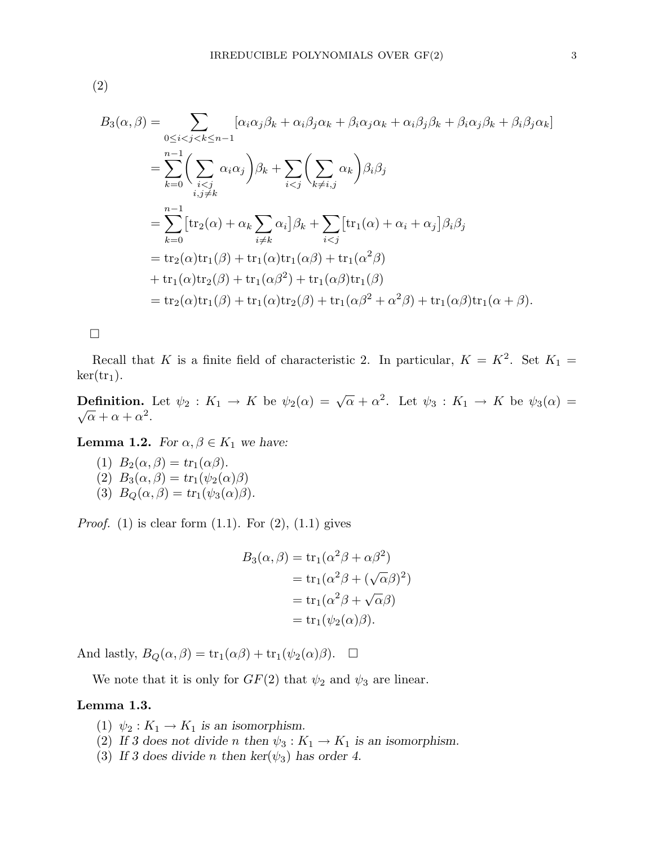(2)

$$
B_3(\alpha, \beta) = \sum_{0 \le i < j < k \le n-1} \left[ \alpha_i \alpha_j \beta_k + \alpha_i \beta_j \alpha_k + \beta_i \alpha_j \alpha_k + \alpha_i \beta_j \beta_k + \beta_i \alpha_j \beta_k + \beta_i \beta_j \alpha_k \right]
$$
\n
$$
= \sum_{k=0}^{n-1} \left( \sum_{\substack{i < j \\ i,j \neq k}} \alpha_i \alpha_j \right) \beta_k + \sum_{i < j} \left( \sum_{k \neq i,j} \alpha_k \right) \beta_i \beta_j
$$
\n
$$
= \sum_{k=0}^{n-1} \left[ \text{tr}_2(\alpha) + \alpha_k \sum_{i \neq k} \alpha_i \right] \beta_k + \sum_{i < j} \left[ \text{tr}_1(\alpha) + \alpha_i + \alpha_j \right] \beta_i \beta_j
$$
\n
$$
= \text{tr}_2(\alpha) \text{tr}_1(\beta) + \text{tr}_1(\alpha) \text{tr}_1(\alpha \beta) + \text{tr}_1(\alpha^2 \beta)
$$
\n
$$
+ \text{tr}_1(\alpha) \text{tr}_2(\beta) + \text{tr}_1(\alpha \beta^2) + \text{tr}_1(\alpha \beta) \text{tr}_1(\beta)
$$
\n
$$
= \text{tr}_2(\alpha) \text{tr}_1(\beta) + \text{tr}_1(\alpha) \text{tr}_2(\beta) + \text{tr}_1(\alpha \beta^2 + \alpha^2 \beta) + \text{tr}_1(\alpha \beta) \text{tr}_1(\alpha + \beta).
$$

 $\Box$ 

Recall that K is a finite field of characteristic 2. In particular,  $K = K^2$ . Set  $K_1 =$  $\ker(\text{tr}_1).$ 

**Definition.** Let  $\psi_2 : K_1 \to K$  be  $\psi_2(\alpha) = \sqrt{\alpha} + \alpha^2$ . Let  $\psi_3 : K_1 \to K$  be  $\psi_3(\alpha) =$  $\overline{\alpha} + \alpha + \alpha^2$ .

**Lemma 1.2.** For  $\alpha, \beta \in K_1$  we have:

(1)  $B_2(\alpha, \beta) = tr_1(\alpha\beta)$ . (2)  $B_3(\alpha, \beta) = \text{tr}_1(\psi_2(\alpha)\beta)$ (3)  $B_Q(\alpha, \beta) = tr_1(\psi_3(\alpha)\beta).$ 

*Proof.* (1) is clear form  $(1.1)$ . For  $(2)$ ,  $(1.1)$  gives

$$
B_3(\alpha, \beta) = \text{tr}_1(\alpha^2 \beta + \alpha \beta^2)
$$
  
= 
$$
\text{tr}_1(\alpha^2 \beta + (\sqrt{\alpha} \beta)^2)
$$
  
= 
$$
\text{tr}_1(\alpha^2 \beta + \sqrt{\alpha} \beta)
$$
  
= 
$$
\text{tr}_1(\psi_2(\alpha)\beta).
$$

And lastly,  $B_Q(\alpha, \beta) = \text{tr}_1(\alpha\beta) + \text{tr}_1(\psi_2(\alpha)\beta)$ .  $\Box$ 

We note that it is only for  $GF(2)$  that  $\psi_2$  and  $\psi_3$  are linear.

### Lemma 1.3.

- (1)  $\psi_2: K_1 \to K_1$  is an isomorphism.
- (2) If 3 does not divide n then  $\psi_3: K_1 \to K_1$  is an isomorphism.
- (3) If 3 does divide n then  $\ker(\psi_3)$  has order 4.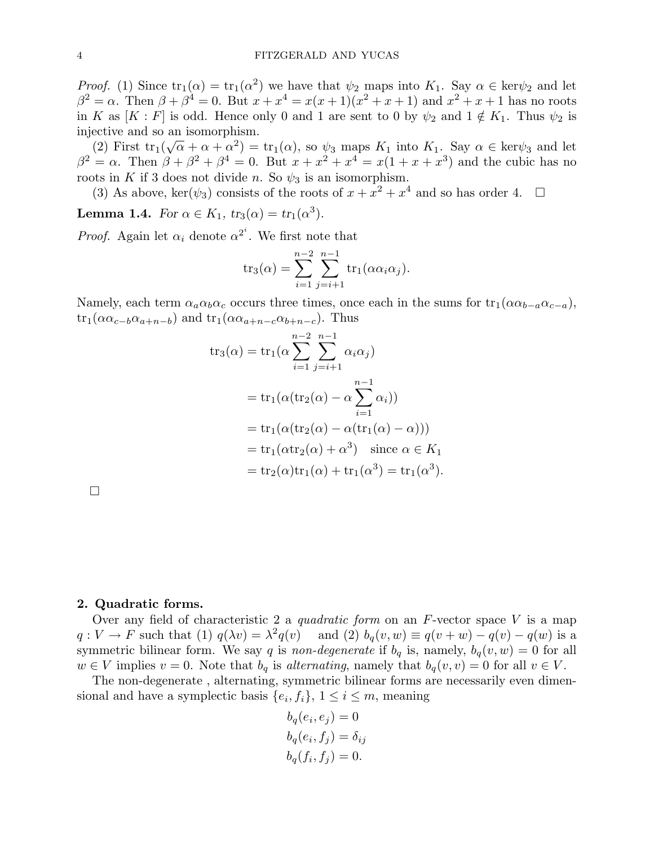*Proof.* (1) Since  $\text{tr}_1(\alpha) = \text{tr}_1(\alpha^2)$  we have that  $\psi_2$  maps into  $K_1$ . Say  $\alpha \in \text{ker}\psi_2$  and let  $\beta^2 = \alpha$ . Then  $\beta + \beta^4 = 0$ . But  $x + x^4 = x(x+1)(x^2 + x + 1)$  and  $x^2 + x + 1$  has no roots in K as  $[K : F]$  is odd. Hence only 0 and 1 are sent to 0 by  $\psi_2$  and  $1 \notin K_1$ . Thus  $\psi_2$  is injective and so an isomorphism.

(2) First  $\mathrm{tr}_1(\sqrt{\alpha} + \alpha + \alpha^2) = \mathrm{tr}_1(\alpha)$ , so  $\psi_3$  maps  $K_1$  into  $K_1$ . Say  $\alpha \in \mathrm{ker}\psi_3$  and let  $β<sup>2</sup> = α$ . Then  $β + β<sup>2</sup> + β<sup>4</sup> = 0$ . But  $x + x<sup>2</sup> + x<sup>4</sup> = x(1 + x + x<sup>3</sup>)$  and the cubic has no roots in K if 3 does not divide n. So  $\psi_3$  is an isomorphism.

(3) As above, ker( $\psi_3$ ) consists of the roots of  $x + x^2 + x^4$  and so has order 4.  $\Box$ 

**Lemma 1.4.** For  $\alpha \in K_1$ ,  $tr_3(\alpha) = tr_1(\alpha^3)$ .

*Proof.* Again let  $\alpha_i$  denote  $\alpha^{2^i}$ . We first note that

$$
tr_3(\alpha) = \sum_{i=1}^{n-2} \sum_{j=i+1}^{n-1} tr_1(\alpha \alpha_i \alpha_j).
$$

Namely, each term  $\alpha_a \alpha_b \alpha_c$  occurs three times, once each in the sums for  $\text{tr}_1(\alpha \alpha_{b-a} \alpha_{c-a})$ ,  $\text{tr}_1(\alpha \alpha_{c-b} \alpha_{a+n-b})$  and  $\text{tr}_1(\alpha \alpha_{a+n-c} \alpha_{b+n-c})$ . Thus

$$
tr_3(\alpha) = tr_1(\alpha \sum_{i=1}^{n-2} \sum_{j=i+1}^{n-1} \alpha_i \alpha_j)
$$
  
= 
$$
tr_1(\alpha (tr_2(\alpha) - \alpha \sum_{i=1}^{n-1} \alpha_i))
$$
  
= 
$$
tr_1(\alpha (tr_2(\alpha) - \alpha (tr_1(\alpha) - \alpha)))
$$
  
= 
$$
tr_1(\alpha tr_2(\alpha) + \alpha^3) \text{ since } \alpha \in K_1
$$
  
= 
$$
tr_2(\alpha) tr_1(\alpha) + tr_1(\alpha^3) = tr_1(\alpha^3).
$$

¤

#### 2. Quadratic forms.

Over any field of characteristic 2 a quadratic form on an  $F$ -vector space V is a map  $q: V \to F$  such that (1)  $q(\lambda v) = \lambda^2 q(v)$  and (2)  $b_q(v, w) \equiv q(v + w) - q(v) - q(w)$  is a symmetric bilinear form. We say q is non-degenerate if  $b_q$  is, namely,  $b_q(v, w) = 0$  for all  $w \in V$  implies  $v = 0$ . Note that  $b_q$  is alternating, namely that  $b_q(v, v) = 0$  for all  $v \in V$ .

The non-degenerate , alternating, symmetric bilinear forms are necessarily even dimensional and have a symplectic basis  $\{e_i, f_i\}, 1 \le i \le m$ , meaning

$$
b_q(e_i, e_j) = 0
$$
  
\n
$$
b_q(e_i, f_j) = \delta_{ij}
$$
  
\n
$$
b_q(f_i, f_j) = 0.
$$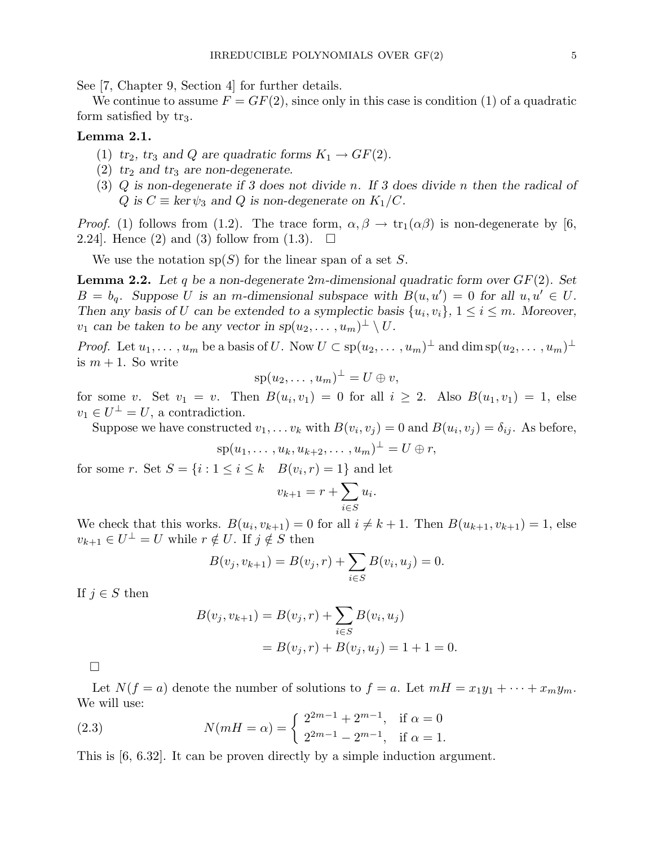See [7, Chapter 9, Section 4] for further details.

We continue to assume  $F = GF(2)$ , since only in this case is condition (1) of a quadratic form satisfied by  $tr_3$ .

#### Lemma 2.1.

- (1)  $tr_2$ ,  $tr_3$  and Q are quadratic forms  $K_1 \rightarrow GF(2)$ .
- (2)  $tr_2$  and  $tr_3$  are non-degenerate.
- (3) Q is non-degenerate if 3 does not divide n. If 3 does divide n then the radical of Q is  $C \equiv \ker \psi_3$  and Q is non-degenerate on  $K_1/C$ .

*Proof.* (1) follows from (1.2). The trace form,  $\alpha, \beta \rightarrow \text{tr}_1(\alpha\beta)$  is non-degenerate by [6, 2.24. Hence (2) and (3) follow from  $(1.3)$ .  $\Box$ 

We use the notation  $sp(S)$  for the linear span of a set S.

**Lemma 2.2.** Let q be a non-degenerate  $2m$ -dimensional quadratic form over  $GF(2)$ . Set  $B = b_q$ . Suppose U is an m-dimensional subspace with  $B(u, u') = 0$  for all  $u, u' \in U$ . Then any basis of U can be extended to a symplectic basis  $\{u_i, v_i\}$ ,  $1 \le i \le m$ . Moreover,  $v_1$  can be taken to be any vector in  $sp(u_2,\ldots,u_m)^{\perp} \setminus U$ .

*Proof.* Let  $u_1, \ldots, u_m$  be a basis of U. Now  $U \subset sp(u_2, \ldots, u_m)^{\perp}$  and  $\dim sp(u_2, \ldots, u_m)^{\perp}$ is  $m + 1$ . So write

$$
\mathrm{sp}(u_2,\ldots,u_m)^{\perp}=U\oplus v,
$$

for some v. Set  $v_1 = v$ . Then  $B(u_i, v_1) = 0$  for all  $i \geq 2$ . Also  $B(u_1, v_1) = 1$ , else  $v_1 \in U^{\perp} = U$ , a contradiction.

Suppose we have constructed  $v_1, \ldots v_k$  with  $B(v_i, v_j) = 0$  and  $B(u_i, v_j) = \delta_{ij}$ . As before,

$$
\mathrm{sp}(u_1,\ldots,u_k,u_{k+2},\ldots,u_m)^{\perp}=U\oplus r,
$$

for some r. Set  $S = \{i : 1 \le i \le k \mid B(v_i, r) = 1\}$  and let

$$
v_{k+1} = r + \sum_{i \in S} u_i.
$$

We check that this works.  $B(u_i, v_{k+1}) = 0$  for all  $i \neq k+1$ . Then  $B(u_{k+1}, v_{k+1}) = 1$ , else  $v_{k+1} \in U^{\perp} = U$  while  $r \notin U$ . If  $j \notin S$  then

$$
B(v_j, v_{k+1}) = B(v_j, r) + \sum_{i \in S} B(v_i, u_j) = 0.
$$

If  $j \in S$  then

$$
B(v_j, v_{k+1}) = B(v_j, r) + \sum_{i \in S} B(v_i, u_j)
$$
  
=  $B(v_j, r) + B(v_j, u_j) = 1 + 1 = 0.$ 

¤

Let  $N(f = a)$  denote the number of solutions to  $f = a$ . Let  $mH = x_1y_1 + \cdots + x_my_m$ . We will use:

(2.3) 
$$
N(mH = \alpha) = \begin{cases} 2^{2m-1} + 2^{m-1}, & \text{if } \alpha = 0 \\ 2^{2m-1} - 2^{m-1}, & \text{if } \alpha = 1. \end{cases}
$$

This is [6, 6.32]. It can be proven directly by a simple induction argument.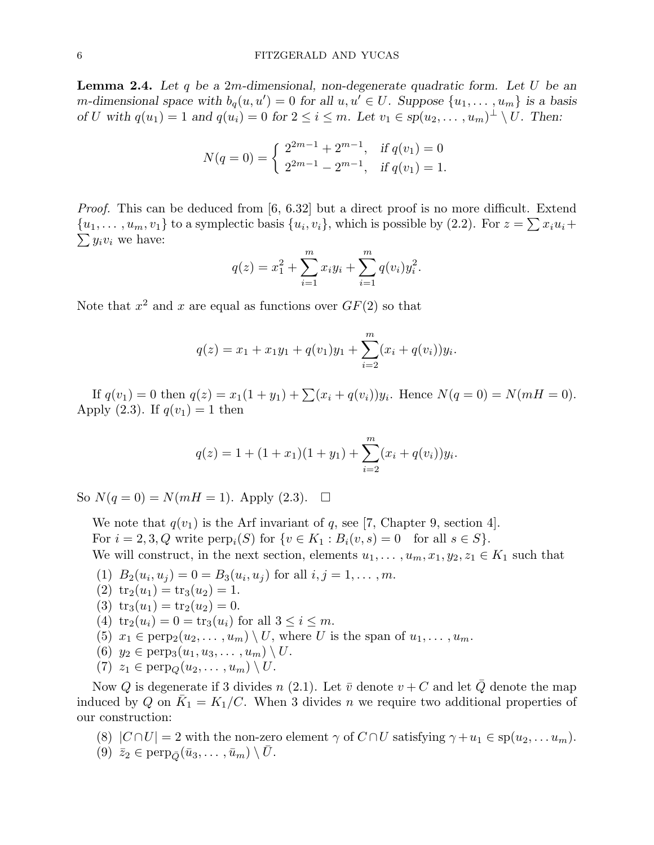**Lemma 2.4.** Let q be a 2m-dimensional, non-degenerate quadratic form. Let U be an m-dimensional space with  $b_q(u, u') = 0$  for all  $u, u' \in U$ . Suppose  $\{u_1, \ldots, u_m\}$  is a basis of U with  $q(u_1) = 1$  and  $q(u_i) = 0$  for  $2 \leq i \leq m$ . Let  $v_1 \in sp(u_2, \ldots, u_m)^\perp \setminus U$ . Then:

$$
N(q = 0) = \begin{cases} 2^{2m-1} + 2^{m-1}, & \text{if } q(v_1) = 0 \\ 2^{2m-1} - 2^{m-1}, & \text{if } q(v_1) = 1. \end{cases}
$$

*Proof.* This can be deduced from  $[6, 6.32]$  but a direct proof is no more difficult. Extend  $\{u_1, \ldots, u_m, v_1\}$  to a symplectic basis  $\{u_i, v_i\}$ , which is possible by (2.2). For  $z = \sum x_i u_i +$  $\sum y_i v_i$  we have:

$$
q(z) = x_1^2 + \sum_{i=1}^m x_i y_i + \sum_{i=1}^m q(v_i) y_i^2.
$$

Note that  $x^2$  and x are equal as functions over  $GF(2)$  so that

$$
q(z) = x_1 + x_1y_1 + q(v_1)y_1 + \sum_{i=2}^{m} (x_i + q(v_i))y_i
$$

.

If  $q(v_1) = 0$  then  $q(z) = x_1(1 + y_1) + \sum_{i=1}^{n} (x_i + q(v_i))y_i$ . Hence  $N(q = 0) = N(mH = 0)$ . Apply (2.3). If  $q(v_1) = 1$  then

$$
q(z) = 1 + (1 + x_1)(1 + y_1) + \sum_{i=2}^{m} (x_i + q(v_i))y_i.
$$

So  $N(q = 0) = N(mH = 1)$ . Apply (2.3).  $\square$ 

We note that  $q(v_1)$  is the Arf invariant of q, see [7, Chapter 9, section 4]. For  $i = 2, 3, Q$  write  $\text{perp}_i(S)$  for  $\{v \in K_1 : B_i(v, s) = 0 \text{ for all } s \in S\}.$ We will construct, in the next section, elements  $u_1, \ldots, u_m, x_1, y_2, z_1 \in K_1$  such that

- (1)  $B_2(u_i, u_j) = 0 = B_3(u_i, u_j)$  for all  $i, j = 1, ..., m$ .
- (2)  $\text{tr}_2(u_1) = \text{tr}_3(u_2) = 1.$
- (3)  $\text{tr}_3(u_1) = \text{tr}_2(u_2) = 0.$
- (4)  $\text{tr}_2(u_i) = 0 = \text{tr}_3(u_i)$  for all  $3 \leq i \leq m$ .
- (5)  $x_1 \in \text{perp}(u_2, \ldots, u_m) \setminus U$ , where U is the span of  $u_1, \ldots, u_m$ .
- (6)  $y_2 \in \text{perp}_3(u_1, u_3, \ldots, u_m) \setminus U$ .
- (7)  $z_1 \in \text{perp}_Q(u_2, \ldots, u_m) \setminus U$ .

Now Q is degenerate if 3 divides n (2.1). Let  $\bar{v}$  denote  $v + C$  and let  $\bar{Q}$  denote the map induced by Q on  $\overline{K}_1 = K_1/C$ . When 3 divides n we require two additional properties of our construction:

- (8)  $|C \cap U| = 2$  with the non-zero element  $\gamma$  of  $C \cap U$  satisfying  $\gamma + u_1 \in sp(u_2, \ldots u_m)$ .
- (9)  $\bar{z}_2 \in \text{perp}_{\bar{Q}}(\bar{u}_3, \ldots, \bar{u}_m) \setminus \bar{U}$ .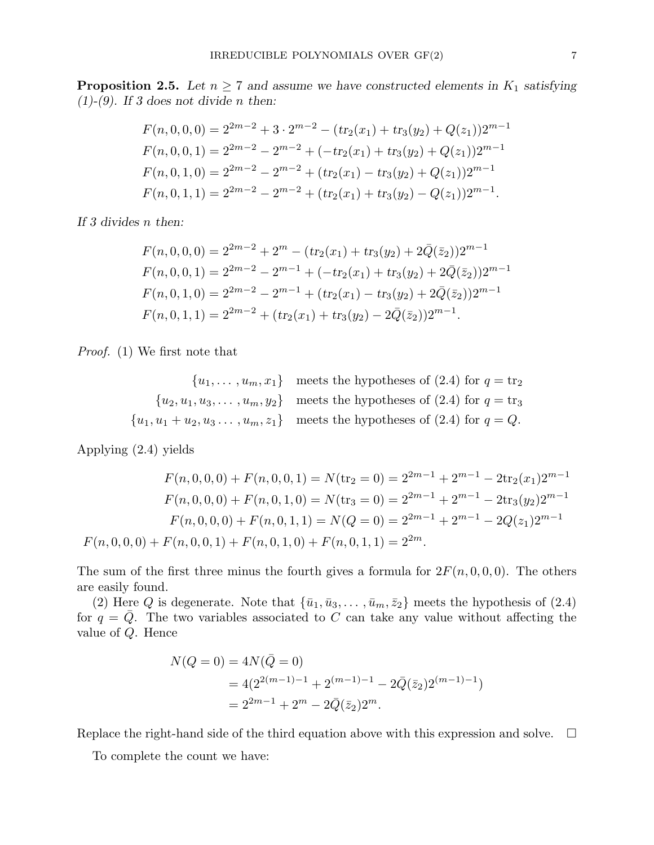**Proposition 2.5.** Let  $n \geq 7$  and assume we have constructed elements in  $K_1$  satisfying  $(1)-(9)$ . If 3 does not divide *n* then:

$$
F(n,0,0,0) = 2^{2m-2} + 3 \cdot 2^{m-2} - (tr_2(x_1) + tr_3(y_2) + Q(z_1))2^{m-1}
$$
  
\n
$$
F(n,0,0,1) = 2^{2m-2} - 2^{m-2} + (-tr_2(x_1) + tr_3(y_2) + Q(z_1))2^{m-1}
$$
  
\n
$$
F(n,0,1,0) = 2^{2m-2} - 2^{m-2} + (tr_2(x_1) - tr_3(y_2) + Q(z_1))2^{m-1}
$$
  
\n
$$
F(n,0,1,1) = 2^{2m-2} - 2^{m-2} + (tr_2(x_1) + tr_3(y_2) - Q(z_1))2^{m-1}.
$$

If 3 divides n then:

$$
F(n,0,0,0) = 2^{2m-2} + 2^m - (tr_2(x_1) + tr_3(y_2) + 2\overline{Q}(\overline{z}_2))2^{m-1}
$$
  
\n
$$
F(n,0,0,1) = 2^{2m-2} - 2^{m-1} + (-tr_2(x_1) + tr_3(y_2) + 2\overline{Q}(\overline{z}_2))2^{m-1}
$$
  
\n
$$
F(n,0,1,0) = 2^{2m-2} - 2^{m-1} + (tr_2(x_1) - tr_3(y_2) + 2\overline{Q}(\overline{z}_2))2^{m-1}
$$
  
\n
$$
F(n,0,1,1) = 2^{2m-2} + (tr_2(x_1) + tr_3(y_2) - 2\overline{Q}(\overline{z}_2))2^{m-1}.
$$

Proof. (1) We first note that

$$
\{u_1, \ldots, u_m, x_1\} \text{ meets the hypotheses of (2.4) for } q = \text{tr}_2
$$

$$
\{u_2, u_1, u_3, \ldots, u_m, y_2\} \text{ meets the hypotheses of (2.4) for } q = \text{tr}_3
$$

$$
\{u_1, u_1 + u_2, u_3, \ldots, u_m, z_1\} \text{ meets the hypotheses of (2.4) for } q = Q.
$$

Applying (2.4) yields

$$
F(n,0,0,0) + F(n,0,0,1) = N(\text{tr}_2 = 0) = 2^{2m-1} + 2^{m-1} - 2\text{tr}_2(x_1)2^{m-1}
$$

$$
F(n,0,0,0) + F(n,0,1,0) = N(\text{tr}_3 = 0) = 2^{2m-1} + 2^{m-1} - 2\text{tr}_3(y_2)2^{m-1}
$$

$$
F(n,0,0,0) + F(n,0,1,1) = N(Q = 0) = 2^{2m-1} + 2^{m-1} - 2Q(z_1)2^{m-1}
$$

$$
F(n,0,0,0) + F(n,0,0,1) + F(n,0,1,0) + F(n,0,1,1) = 2^{2m}.
$$

The sum of the first three minus the fourth gives a formula for  $2F(n, 0, 0, 0)$ . The others are easily found.

(2) Here Q is degenerate. Note that  $\{\bar{u}_1, \bar{u}_3, \dots, \bar{u}_m, \bar{z}_2\}$  meets the hypothesis of (2.4) for  $q = Q$ . The two variables associated to C can take any value without affecting the value of Q. Hence

$$
N(Q = 0) = 4N(\bar{Q} = 0)
$$
  
= 4(2<sup>2(m-1)-1</sup> + 2<sup>(m-1)-1</sup> - 2\bar{Q}(\bar{z}\_2)2<sup>(m-1)-1</sup>)  
= 2<sup>2m-1</sup> + 2<sup>m</sup> - 2\bar{Q}(\bar{z}\_2)2<sup>m</sup>.

Replace the right-hand side of the third equation above with this expression and solve.  $\Box$ 

To complete the count we have: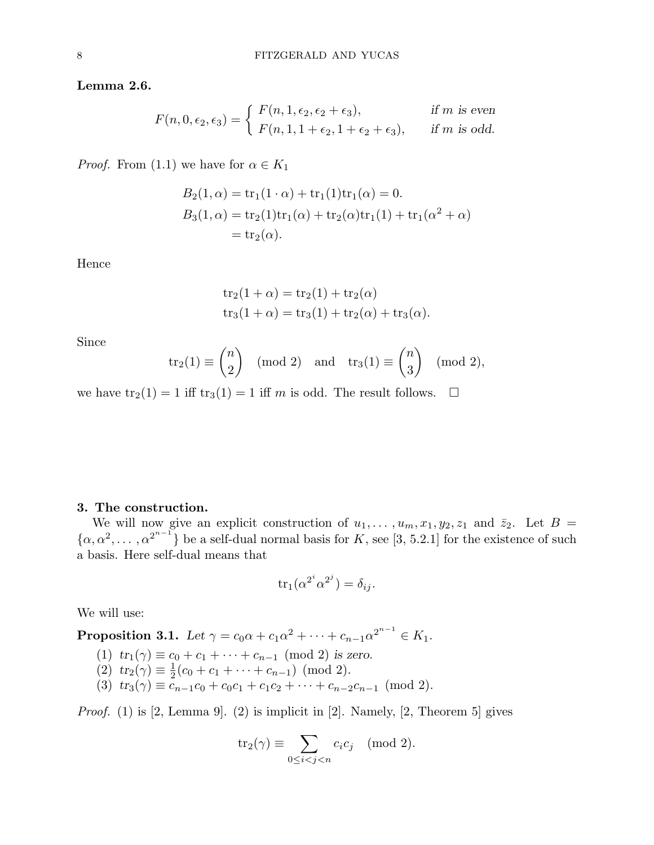#### Lemma 2.6.

$$
F(n,0,\epsilon_2,\epsilon_3) = \begin{cases} F(n,1,\epsilon_2,\epsilon_2+\epsilon_3), & \text{if } m \text{ is even} \\ F(n,1,1+\epsilon_2,1+\epsilon_2+\epsilon_3), & \text{if } m \text{ is odd.} \end{cases}
$$

*Proof.* From (1.1) we have for  $\alpha \in K_1$ 

$$
B_2(1, \alpha) = \text{tr}_1(1 \cdot \alpha) + \text{tr}_1(1)\text{tr}_1(\alpha) = 0.
$$
  
\n
$$
B_3(1, \alpha) = \text{tr}_2(1)\text{tr}_1(\alpha) + \text{tr}_2(\alpha)\text{tr}_1(1) + \text{tr}_1(\alpha^2 + \alpha)
$$
  
\n
$$
= \text{tr}_2(\alpha).
$$

Hence

$$
tr_2(1 + \alpha) = tr_2(1) + tr_2(\alpha)
$$
  
\n $tr_3(1 + \alpha) = tr_3(1) + tr_2(\alpha) + tr_3(\alpha).$ 

Since

$$
\text{tr}_2(1) \equiv \binom{n}{2} \pmod{2} \text{ and } \text{tr}_3(1) \equiv \binom{n}{3} \pmod{2},
$$

we have  $\text{tr}_2(1) = 1$  iff  $\text{tr}_3(1) = 1$  iff m is odd. The result follows.  $\Box$ 

#### 3. The construction.

We will now give an explicit construction of  $u_1, \ldots, u_m, x_1, y_2, z_1$  and  $\overline{z}_2$ . Let  $B =$  $\{\alpha, \alpha^2, \dots, \alpha^{2^{n-1}}\}\$ be a self-dual normal basis for K, see [3, 5.2.1] for the existence of such a basis. Here self-dual means that

$$
\operatorname{tr}_1(\alpha^{2^i}\alpha^{2^j}) = \delta_{ij}.
$$

We will use:

Proposition 3.1. Let  $\gamma = c_0\alpha + c_1\alpha^2 + \cdots + c_{n-1}\alpha^{2^{n-1}} \in K_1$ .

- (1)  $tr_1(\gamma) \equiv c_0 + c_1 + \cdots + c_{n-1} \pmod{2}$  is zero.
- (2)  $tr_2(\gamma) \equiv \frac{1}{2}$  $\frac{1}{2}(c_0 + c_1 + \cdots + c_{n-1}) \pmod{2}.$
- (3)  $tr_3(\gamma) \equiv c_{n-1}c_0 + c_0c_1 + c_1c_2 + \cdots + c_{n-2}c_{n-1} \pmod{2}.$

*Proof.* (1) is [2, Lemma 9]. (2) is implicit in [2]. Namely, [2, Theorem 5] gives

$$
tr_2(\gamma) \equiv \sum_{0 \le i < j < n} c_i c_j \pmod{2}.
$$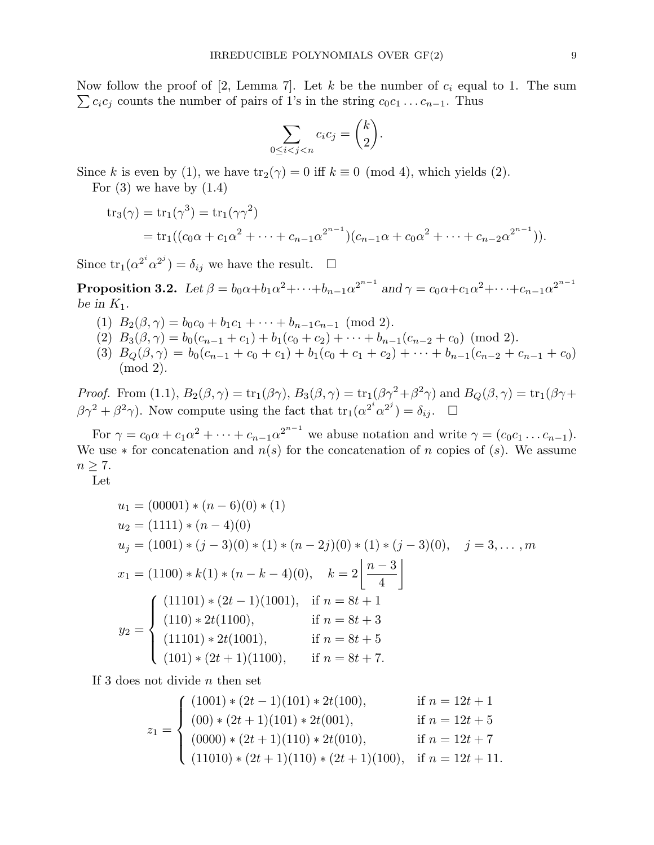Now follow the proof of [2, Lemma 7]. Let k be the number of  $c_i$  equal to 1. The sum  $\sum c_i c_j$  counts the number of pairs of 1's in the string  $c_0 c_1 \ldots c_{n-1}$ . Thus

$$
\sum_{0 \le i < j < n} c_i c_j = \binom{k}{2}.
$$

Since k is even by (1), we have  $\text{tr}_2(\gamma) = 0$  iff  $k \equiv 0 \pmod{4}$ , which yields (2).

For  $(3)$  we have by  $(1.4)$ 

$$
tr_3(\gamma) = tr_1(\gamma^3) = tr_1(\gamma \gamma^2)
$$
  
=  $tr_1((c_0\alpha + c_1\alpha^2 + \dots + c_{n-1}\alpha^{2^{n-1}})(c_{n-1}\alpha + c_0\alpha^2 + \dots + c_{n-2}\alpha^{2^{n-1}})).$ 

Since  $\text{tr}_1(\alpha^{2^i}\alpha^{2^j}) = \delta_{ij}$  we have the result.  $\square$ 

Proposition 3.2. Let  $\beta=b_0\alpha+b_1\alpha^2+\cdots+b_{n-1}\alpha^{2^{n-1}}$  and  $\gamma=c_0\alpha+c_1\alpha^2+\cdots+c_{n-1}\alpha^{2^{n-1}}$ be in  $K_1$ .

- (1)  $B_2(\beta, \gamma) = b_0 c_0 + b_1 c_1 + \cdots + b_{n-1} c_{n-1} \pmod{2}.$
- (2)  $B_3(\beta, \gamma) = b_0(c_{n-1} + c_1) + b_1(c_0 + c_2) + \cdots + b_{n-1}(c_{n-2} + c_0) \pmod{2}.$
- (3)  $B_Q(\beta, \gamma) = b_0(c_{n-1} + c_0 + c_1) + b_1(c_0 + c_1 + c_2) + \cdots + b_{n-1}(c_{n-2} + c_{n-1} + c_0)$ (mod 2).

*Proof.* From (1.1),  $B_2(\beta, \gamma) = \text{tr}_1(\beta\gamma)$ ,  $B_3(\beta, \gamma) = \text{tr}_1(\beta\gamma^2 + \beta^2\gamma)$  and  $B_Q(\beta, \gamma) = \text{tr}_1(\beta\gamma + \gamma)$  $\beta \gamma^2 + \beta^2 \gamma$ ). Now compute using the fact that  $\text{tr}_1(\alpha^{2^i} \alpha^{2^j}) = \delta_{ij}$ .  $\Box$ 

For  $\gamma = c_0 \alpha + c_1 \alpha^2 + \cdots + c_{n-1} \alpha^{2^{n-1}}$  we abuse notation and write  $\gamma = (c_0 c_1 \ldots c_{n-1})$ . We use  $*$  for concatenation and  $n(s)$  for the concatenation of n copies of  $(s)$ . We assume  $n \geq 7$ .

Let

$$
u_1 = (00001) * (n - 6)(0) * (1)
$$
  
\n
$$
u_2 = (1111) * (n - 4)(0)
$$
  
\n
$$
u_j = (1001) * (j - 3)(0) * (1) * (n - 2j)(0) * (1) * (j - 3)(0), \quad j = 3, ..., m
$$
  
\n
$$
x_1 = (1100) * k(1) * (n - k - 4)(0), \quad k = 2\left\lfloor \frac{n - 3}{4} \right\rfloor
$$
  
\n
$$
y_2 = \begin{cases} (11101) * (2t - 1)(1001), & \text{if } n = 8t + 1 \\ (110) * 2t(1100), & \text{if } n = 8t + 3 \\ (11101) * 2t(1001), & \text{if } n = 8t + 5 \\ (101) * (2t + 1)(1100), & \text{if } n = 8t + 7. \end{cases}
$$

If 3 does not divide  $n$  then set

$$
z_1 = \begin{cases} (1001) * (2t - 1)(101) * 2t(100), & \text{if } n = 12t + 1 \\ (00) * (2t + 1)(101) * 2t(001), & \text{if } n = 12t + 5 \\ (0000) * (2t + 1)(110) * 2t(010), & \text{if } n = 12t + 7 \\ (11010) * (2t + 1)(110) * (2t + 1)(100), & \text{if } n = 12t + 11. \end{cases}
$$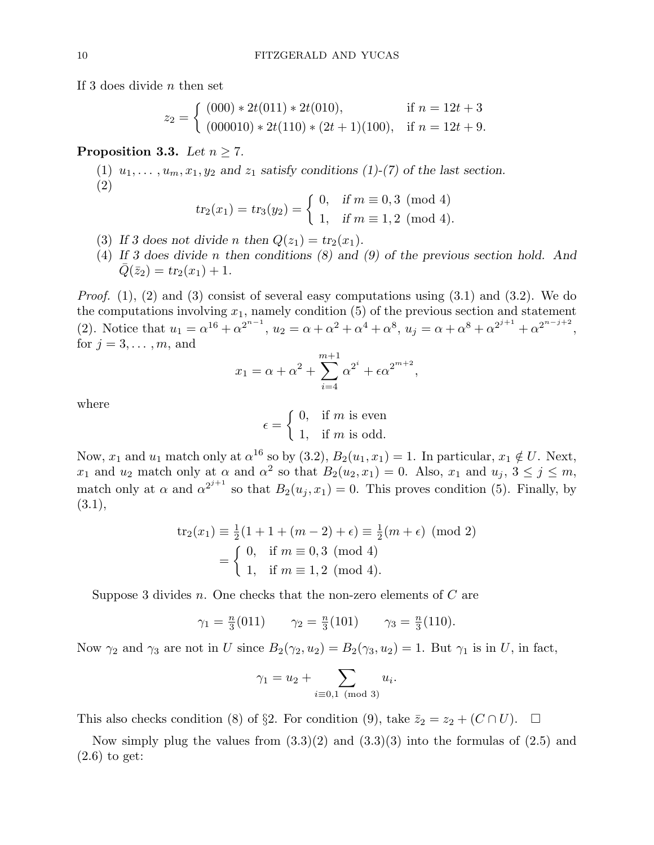If 3 does divide n then set

$$
z_2 = \begin{cases} (000) * 2t(011) * 2t(010), & \text{if } n = 12t + 3 \\ (000010) * 2t(110) * (2t + 1)(100), & \text{if } n = 12t + 9. \end{cases}
$$

#### **Proposition 3.3.** Let  $n \geq 7$ .

(1)  $u_1, \ldots, u_m, x_1, y_2$  and  $z_1$  satisfy conditions (1)-(7) of the last section. (2)

$$
tr_2(x_1) = tr_3(y_2) = \begin{cases} 0, & \text{if } m \equiv 0, 3 \pmod{4} \\ 1, & \text{if } m \equiv 1, 2 \pmod{4}. \end{cases}
$$

- (3) If 3 does not divide n then  $Q(z_1) = tr_2(x_1)$ .
- (4) If 3 does divide n then conditions (8) and (9) of the previous section hold. And  $\overline{Q}(\bar{z}_2) = tr_2(x_1) + 1.$

*Proof.* (1), (2) and (3) consist of several easy computations using  $(3.1)$  and  $(3.2)$ . We do the computations involving  $x_1$ , namely condition  $(5)$  of the previous section and statement (2). Notice that  $u_1 = \alpha^{16} + \alpha^{2^{n-1}}$ ,  $u_2 = \alpha + \alpha^2 + \alpha^4 + \alpha^8$ ,  $u_j = \alpha + \alpha^8 + \alpha^{2^{j+1}} + \alpha^{2^{n-j+2}}$ , for  $j = 3, \ldots, m$ , and

$$
x_1 = \alpha + \alpha^2 + \sum_{i=4}^{m+1} \alpha^{2^i} + \epsilon \alpha^{2^{m+2}},
$$

where

$$
\epsilon = \begin{cases} 0, & \text{if } m \text{ is even} \\ 1, & \text{if } m \text{ is odd.} \end{cases}
$$

Now,  $x_1$  and  $u_1$  match only at  $\alpha^{16}$  so by (3.2),  $B_2(u_1, x_1) = 1$ . In particular,  $x_1 \notin U$ . Next,  $x_1$  and  $u_2$  match only at  $\alpha$  and  $\alpha^2$  so that  $B_2(u_2, x_1) = 0$ . Also,  $x_1$  and  $u_j$ ,  $3 \le j \le m$ , match only at  $\alpha$  and  $\alpha^{2^{j+1}}$  so that  $B_2(u_j, x_1) = 0$ . This proves condition (5). Finally, by  $(3.1),$ 

$$
tr_2(x_1) \equiv \frac{1}{2}(1 + 1 + (m - 2) + \epsilon) \equiv \frac{1}{2}(m + \epsilon) \pmod{2}
$$
  
= 
$$
\begin{cases} 0, & \text{if } m \equiv 0, 3 \pmod{4} \\ 1, & \text{if } m \equiv 1, 2 \pmod{4}. \end{cases}
$$

Suppose 3 divides n. One checks that the non-zero elements of  $C$  are

$$
\gamma_1 = \frac{n}{3}(011)
$$
  $\gamma_2 = \frac{n}{3}(101)$   $\gamma_3 = \frac{n}{3}(110).$ 

Now  $\gamma_2$  and  $\gamma_3$  are not in U since  $B_2(\gamma_2, u_2) = B_2(\gamma_3, u_2) = 1$ . But  $\gamma_1$  is in U, in fact,

$$
\gamma_1 = u_2 + \sum_{i \equiv 0,1 \pmod{3}} u_i.
$$

This also checks condition (8) of §2. For condition (9), take  $\bar{z}_2 = z_2 + (C \cap U)$ .  $\Box$ 

Now simply plug the values from  $(3.3)(2)$  and  $(3.3)(3)$  into the formulas of  $(2.5)$  and (2.6) to get: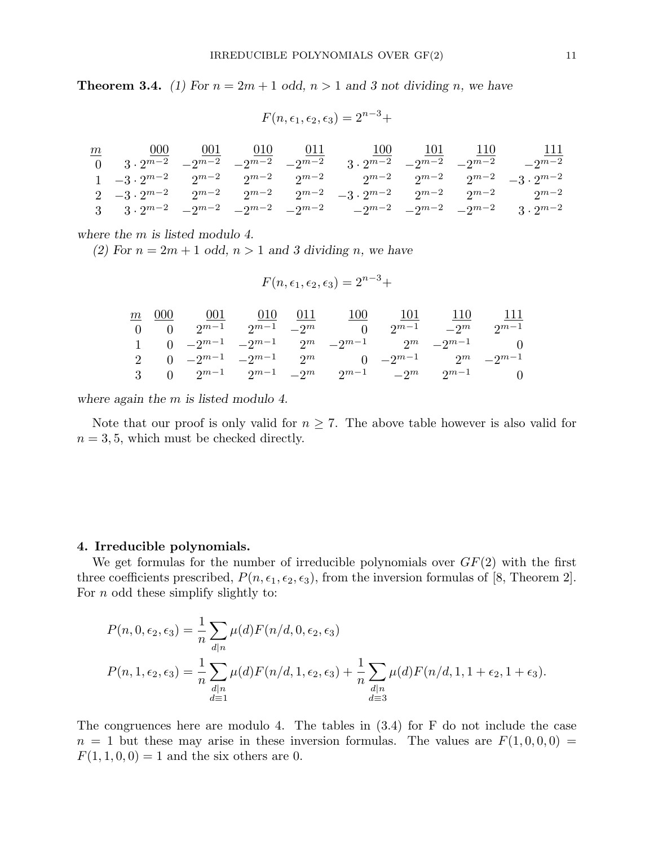**Theorem 3.4.** (1) For  $n = 2m + 1$  odd,  $n > 1$  and 3 not dividing n, we have

 $F(n, \epsilon_1, \epsilon_2, \epsilon_3) = 2^{n-3} +$ 

|  |  | $\frac{m}{m}$ 000 	 001 	 010 	 011 	 100 	 101 	 110 	 111                                                                                         |  |  |
|--|--|-----------------------------------------------------------------------------------------------------------------------------------------------------|--|--|
|  |  | $0 \t 3 \cdot 2^{m-2}$ $-2^{m-2}$ $-2^{m-2}$ $-2^{m-2}$ $3 \cdot 2^{m-2}$ $-2^{m-2}$ $-2^{m-2}$ $-2^{m-2}$                                          |  |  |
|  |  | $1 \quad -3 \cdot 2^{m-2} \quad 2^{m-2} \quad 2^{m-2} \quad 2^{m-2} \quad 2^{m-2} \quad 2^{m-2} \quad 2^{m-2} \quad 2^{m-2} \quad -3 \cdot 2^{m-2}$ |  |  |
|  |  | $2 \quad -3 \cdot 2^{m-2} \quad 2^{m-2} \quad 2^{m-2} \quad 2^{m-2} \quad -3 \cdot 2^{m-2} \quad 2^{m-2} \quad 2^{m-2} \quad 2^{m-2}$               |  |  |
|  |  | 3 3.2m <sup>-2</sup> $-2^{m-2}$ $-2^{m-2}$ $-2^{m-2}$ $-2^{m-2}$ $-2^{m-2}$ $-2^{m-2}$ $-2^{m-2}$ 3.2m <sup>-2</sup>                                |  |  |

where the  $m$  is listed modulo 4.

(2) For  $n = 2m + 1$  odd,  $n > 1$  and 3 dividing n, we have

$$
F(n, \epsilon_1, \epsilon_2, \epsilon_3) = 2^{n-3} +
$$

|  | $\frac{m}{m}$ 000 001 010 011                                 |  | 100 101 110 111            |  |
|--|---------------------------------------------------------------|--|----------------------------|--|
|  | 0 0 $2^{m-1}$ $2^{m-1}$ $-2^m$ 0                              |  | $2^{m-1}$ $-2^m$ $2^{m-1}$ |  |
|  | 1 0 $-2^{m-1}$ $-2^{m-1}$ $2^m$ $-2^{m-1}$ $2^m$ $-2^{m-1}$ 0 |  |                            |  |
|  | 2 0 $-2^{m-1}$ $-2^{m-1}$ $2^m$ 0 $-2^{m-1}$ $2^m$ $-2^{m-1}$ |  |                            |  |
|  | 3 0 $2^{m-1}$ $2^{m-1}$ $-2^m$ $2^{m-1}$ $-2^m$ $2^{m-1}$ 0   |  |                            |  |

where again the m is listed modulo 4.

Note that our proof is only valid for  $n \geq 7$ . The above table however is also valid for  $n = 3, 5$ , which must be checked directly.

#### 4. Irreducible polynomials.

We get formulas for the number of irreducible polynomials over  $GF(2)$  with the first three coefficients prescribed,  $P(n, \epsilon_1, \epsilon_2, \epsilon_3)$ , from the inversion formulas of [8, Theorem 2]. For  $n$  odd these simplify slightly to:

$$
P(n, 0, \epsilon_2, \epsilon_3) = \frac{1}{n} \sum_{d|n} \mu(d) F(n/d, 0, \epsilon_2, \epsilon_3)
$$
  

$$
P(n, 1, \epsilon_2, \epsilon_3) = \frac{1}{n} \sum_{\substack{d|n \\ d \equiv 1}} \mu(d) F(n/d, 1, \epsilon_2, \epsilon_3) + \frac{1}{n} \sum_{\substack{d|n \\ d \equiv 3}} \mu(d) F(n/d, 1, 1 + \epsilon_2, 1 + \epsilon_3).
$$

The congruences here are modulo 4. The tables in (3.4) for F do not include the case  $n = 1$  but these may arise in these inversion formulas. The values are  $F(1, 0, 0, 0) =$  $F(1, 1, 0, 0) = 1$  and the six others are 0.